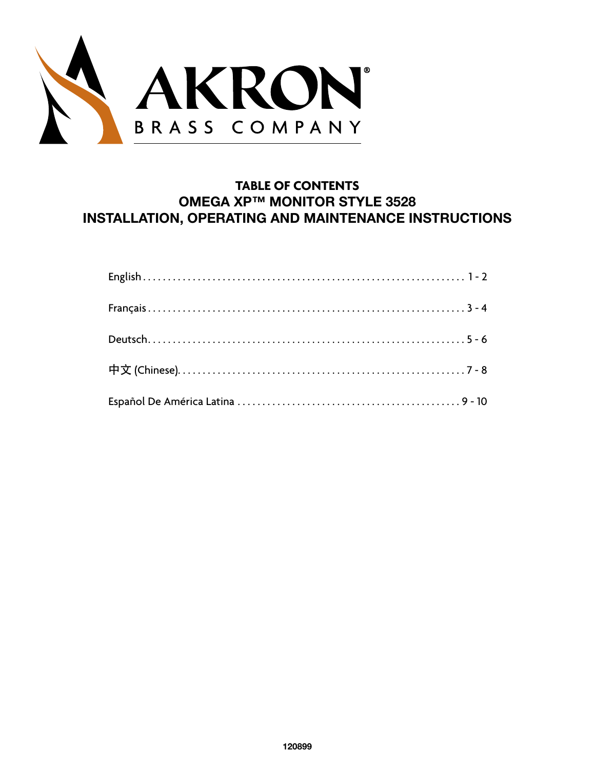

# **TABLE OF CONTENTS OMEGA XP™ MONITOR STYLE 3528 INSTALLATION, OPERATING AND MAINTENANCE INSTRUCTIONS**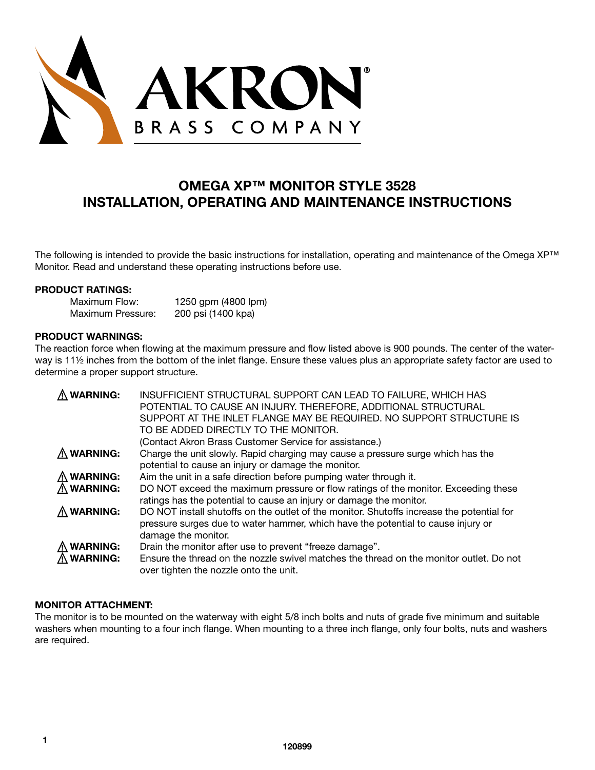

# **OMEGA XP™ MONITOR STYLE 3528 INSTALLATION, OPERATING AND MAINTENANCE INSTRUCTIONS**

The following is intended to provide the basic instructions for installation, operating and maintenance of the Omega XP™ Monitor. Read and understand these operating instructions before use.

#### **PRODUCT RATINGS:**

Maximum Flow: 1250 gpm (4800 lpm) Maximum Pressure: 200 psi (1400 kpa)

#### **PRODUCT WARNINGS:**

The reaction force when flowing at the maximum pressure and flow listed above is 900 pounds. The center of the waterway is 11½ inches from the bottom of the inlet flange. Ensure these values plus an appropriate safety factor are used to determine a proper support structure.

| <b>WARNING:</b>    | INSUFFICIENT STRUCTURAL SUPPORT CAN LEAD TO FAILURE, WHICH HAS<br>POTENTIAL TO CAUSE AN INJURY. THEREFORE, ADDITIONAL STRUCTURAL<br>SUPPORT AT THE INLET FLANGE MAY BE REQUIRED. NO SUPPORT STRUCTURE IS<br>TO BE ADDED DIRECTLY TO THE MONITOR.<br>(Contact Akron Brass Customer Service for assistance.) |
|--------------------|------------------------------------------------------------------------------------------------------------------------------------------------------------------------------------------------------------------------------------------------------------------------------------------------------------|
| <b>WARNING:</b>    | Charge the unit slowly. Rapid charging may cause a pressure surge which has the<br>potential to cause an injury or damage the monitor.                                                                                                                                                                     |
| <b>WARNING:</b>    | Aim the unit in a safe direction before pumping water through it.                                                                                                                                                                                                                                          |
| <b>WARNING:</b>    | DO NOT exceed the maximum pressure or flow ratings of the monitor. Exceeding these<br>ratings has the potential to cause an injury or damage the monitor.                                                                                                                                                  |
| $\Lambda$ WARNING: | DO NOT install shutoffs on the outlet of the monitor. Shutoffs increase the potential for<br>pressure surges due to water hammer, which have the potential to cause injury or<br>damage the monitor.                                                                                                       |
| <b>WARNING:</b>    | Drain the monitor after use to prevent "freeze damage".                                                                                                                                                                                                                                                    |
| <b>WARNING:</b>    | Ensure the thread on the nozzle swivel matches the thread on the monitor outlet. Do not<br>over tighten the nozzle onto the unit.                                                                                                                                                                          |

# **MONITOR ATTACHMENT:**

The monitor is to be mounted on the waterway with eight 5/8 inch bolts and nuts of grade five minimum and suitable washers when mounting to a four inch flange. When mounting to a three inch flange, only four bolts, nuts and washers are required.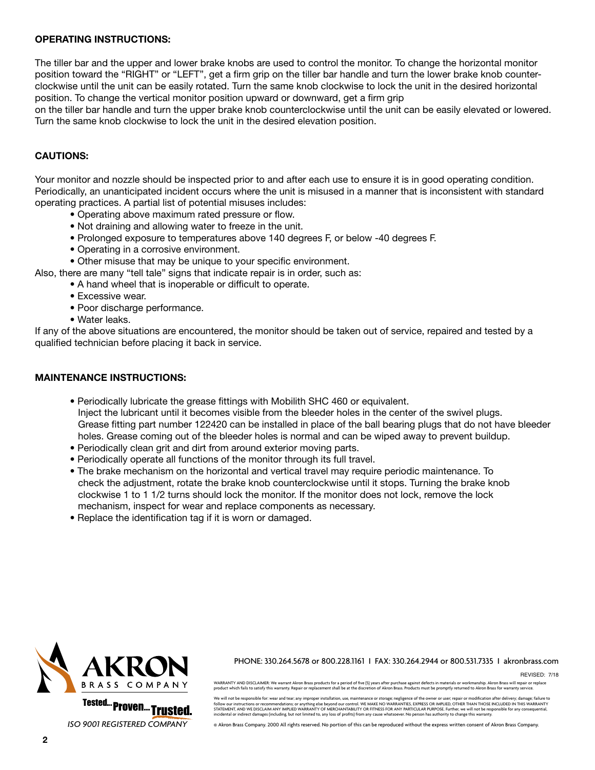#### **OPERATING INSTRUCTIONS:**

The tiller bar and the upper and lower brake knobs are used to control the monitor. To change the horizontal monitor position toward the "RIGHT" or "LEFT", get a firm grip on the tiller bar handle and turn the lower brake knob counterclockwise until the unit can be easily rotated. Turn the same knob clockwise to lock the unit in the desired horizontal position. To change the vertical monitor position upward or downward, get a firm grip

on the tiller bar handle and turn the upper brake knob counterclockwise until the unit can be easily elevated or lowered. Turn the same knob clockwise to lock the unit in the desired elevation position.

#### **CAUTIONS:**

Your monitor and nozzle should be inspected prior to and after each use to ensure it is in good operating condition. Periodically, an unanticipated incident occurs where the unit is misused in a manner that is inconsistent with standard operating practices. A partial list of potential misuses includes:

- Operating above maximum rated pressure or flow.
- Not draining and allowing water to freeze in the unit.
- Prolonged exposure to temperatures above 140 degrees F, or below -40 degrees F.
- Operating in a corrosive environment.
- Other misuse that may be unique to your specific environment.

Also, there are many "tell tale" signs that indicate repair is in order, such as:

• A hand wheel that is inoperable or difficult to operate.

- Excessive wear.
- Poor discharge performance.
- Water leaks.

If any of the above situations are encountered, the monitor should be taken out of service, repaired and tested by a qualified technician before placing it back in service.

#### **MAINTENANCE INSTRUCTIONS:**

- Periodically lubricate the grease fittings with Mobilith SHC 460 or equivalent. Inject the lubricant until it becomes visible from the bleeder holes in the center of the swivel plugs. Grease fitting part number 122420 can be installed in place of the ball bearing plugs that do not have bleeder holes. Grease coming out of the bleeder holes is normal and can be wiped away to prevent buildup.
- Periodically clean grit and dirt from around exterior moving parts.
- Periodically operate all functions of the monitor through its full travel.
- The brake mechanism on the horizontal and vertical travel may require periodic maintenance. To check the adjustment, rotate the brake knob counterclockwise until it stops. Turning the brake knob clockwise 1 to 1 1/2 turns should lock the monitor. If the monitor does not lock, remove the lock mechanism, inspect for wear and replace components as necessary.
- Replace the identification tag if it is worn or damaged.



*ISO 9001 REGISTERED COMPANY*

PHONE: 330.264.5678 or 800.228.1161 I FAX: 330.264.2944 or 800.531.7335 I akronbrass.com

REVISED: 7/18

WARRANTY AND DISCLAIMER: We warrant Akron Brass products for a period of five (5) years after purchase against defects in materials or workmanship. Akron Brass will repair or replace<br>product which fails to satisfy this war

We will not be responsible for: wear and tear; any improper installation, use, maintenance or storage; negligence of the owner or user; repair or modification after delivery; damage; failure to<br>follow our instructions or r STATEMENT, AND WE DISCLAIM ANY IMPLIED WARRANTY OF MERCHANTABILITY OR FITNESS FOR ANY PARTICULAR PURPOSE. Further, we will not be responsible for any consequential, incidental or indirect damages (including, but not limited to, any loss of profits) from any cause whatsoever. No person has authority to change this warranty.

© Akron Brass Company. 2000 All rights reserved. No portion of this can be reproduced without the express written consent of Akron Brass Company.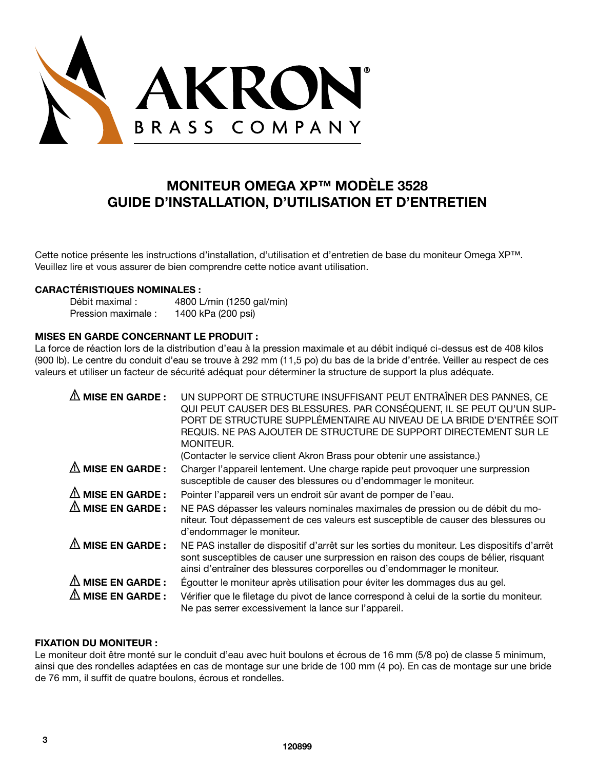

# **MONITEUR OMEGA XP™ MODÈLE 3528 GUIDE D'INSTALLATION, D'UTILISATION ET D'ENTRETIEN**

Cette notice présente les instructions d'installation, d'utilisation et d'entretien de base du moniteur Omega XP™. Veuillez lire et vous assurer de bien comprendre cette notice avant utilisation.

#### **CARACTÉRISTIQUES NOMINALES :**

| Débit maximal :     | 4800 L/min (1250 gal/min) |
|---------------------|---------------------------|
| Pression maximale : | 1400 kPa (200 psi)        |

# **MISES EN GARDE CONCERNANT LE PRODUIT :**

La force de réaction lors de la distribution d'eau à la pression maximale et au débit indiqué ci-dessus est de 408 kilos (900 lb). Le centre du conduit d'eau se trouve à 292 mm (11,5 po) du bas de la bride d'entrée. Veiller au respect de ces valeurs et utiliser un facteur de sécurité adéquat pour déterminer la structure de support la plus adéquate.

| <b>MISE EN GARDE:</b>       | UN SUPPORT DE STRUCTURE INSUFFISANT PEUT ENTRAÎNER DES PANNES, CE<br>QUI PEUT CAUSER DES BLESSURES. PAR CONSÉQUENT, IL SE PEUT QU'UN SUP-<br>PORT DE STRUCTURE SUPPLÉMENTAIRE AU NIVEAU DE LA BRIDE D'ENTRÉE SOIT<br>REQUIS. NE PAS AJOUTER DE STRUCTURE DE SUPPORT DIRECTEMENT SUR LE<br>MONITEUR.<br>(Contacter le service client Akron Brass pour obtenir une assistance.) |
|-----------------------------|-------------------------------------------------------------------------------------------------------------------------------------------------------------------------------------------------------------------------------------------------------------------------------------------------------------------------------------------------------------------------------|
| $\triangle$ MISE EN GARDE : | Charger l'appareil lentement. Une charge rapide peut provoquer une surpression<br>susceptible de causer des blessures ou d'endommager le moniteur.                                                                                                                                                                                                                            |
| $\triangle$ MISE EN GARDE : | Pointer l'appareil vers un endroit sûr avant de pomper de l'eau.                                                                                                                                                                                                                                                                                                              |
| $\Delta$ MISE EN GARDE :    | NE PAS dépasser les valeurs nominales maximales de pression ou de débit du mo-<br>niteur. Tout dépassement de ces valeurs est susceptible de causer des blessures ou<br>d'endommager le moniteur.                                                                                                                                                                             |
| $\triangle$ MISE EN GARDE : | NE PAS installer de dispositif d'arrêt sur les sorties du moniteur. Les dispositifs d'arrêt<br>sont susceptibles de causer une surpression en raison des coups de bélier, risquant<br>ainsi d'entraîner des blessures corporelles ou d'endommager le moniteur.                                                                                                                |
| $\triangle$ MISE EN GARDE : | Égoutter le moniteur après utilisation pour éviter les dommages dus au gel.                                                                                                                                                                                                                                                                                                   |
| <b>MISE EN GARDE:</b>       | Vérifier que le filetage du pivot de lance correspond à celui de la sortie du moniteur.<br>Ne pas serrer excessivement la lance sur l'appareil.                                                                                                                                                                                                                               |

#### **FIXATION DU MONITEUR :**

Le moniteur doit être monté sur le conduit d'eau avec huit boulons et écrous de 16 mm (5/8 po) de classe 5 minimum, ainsi que des rondelles adaptées en cas de montage sur une bride de 100 mm (4 po). En cas de montage sur une bride de 76 mm, il suffit de quatre boulons, écrous et rondelles.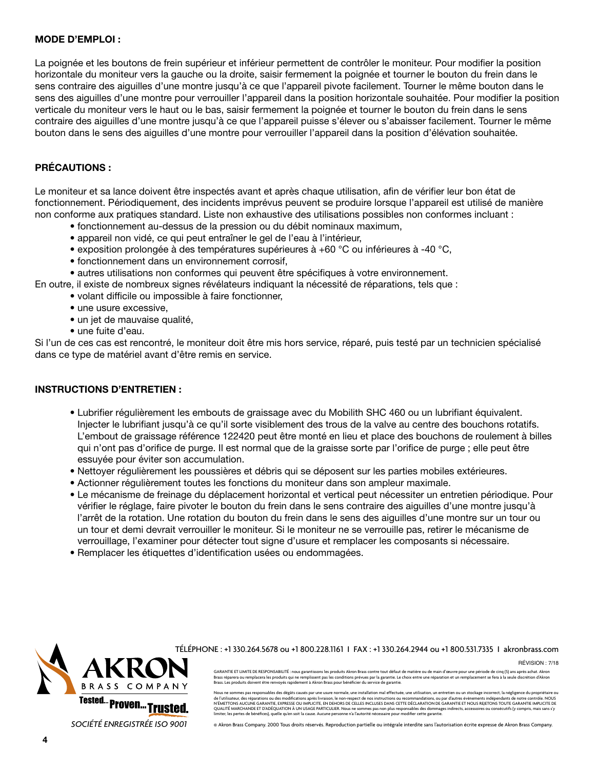#### **MODE D'EMPLOI :**

La poignée et les boutons de frein supérieur et inférieur permettent de contrôler le moniteur. Pour modifier la position horizontale du moniteur vers la gauche ou la droite, saisir fermement la poignée et tourner le bouton du frein dans le sens contraire des aiguilles d'une montre jusqu'à ce que l'appareil pivote facilement. Tourner le même bouton dans le sens des aiguilles d'une montre pour verrouiller l'appareil dans la position horizontale souhaitée. Pour modifier la position verticale du moniteur vers le haut ou le bas, saisir fermement la poignée et tourner le bouton du frein dans le sens contraire des aiguilles d'une montre jusqu'à ce que l'appareil puisse s'élever ou s'abaisser facilement. Tourner le même bouton dans le sens des aiguilles d'une montre pour verrouiller l'appareil dans la position d'élévation souhaitée.

# **PRÉCAUTIONS :**

Le moniteur et sa lance doivent être inspectés avant et après chaque utilisation, afin de vérifier leur bon état de fonctionnement. Périodiquement, des incidents imprévus peuvent se produire lorsque l'appareil est utilisé de manière non conforme aux pratiques standard. Liste non exhaustive des utilisations possibles non conformes incluant :

- fonctionnement au-dessus de la pression ou du débit nominaux maximum,
- appareil non vidé, ce qui peut entraîner le gel de l'eau à l'intérieur,
- exposition prolongée à des températures supérieures à +60 °C ou inférieures à -40 °C,
- fonctionnement dans un environnement corrosif,

• autres utilisations non conformes qui peuvent être spécifiques à votre environnement.

- En outre, il existe de nombreux signes révélateurs indiquant la nécessité de réparations, tels que :
	- volant difficile ou impossible à faire fonctionner,
	- une usure excessive.
	- un jet de mauvaise qualité,
	- une fuite d'eau.

Si l'un de ces cas est rencontré, le moniteur doit être mis hors service, réparé, puis testé par un technicien spécialisé dans ce type de matériel avant d'être remis en service.

### **INSTRUCTIONS D'ENTRETIEN :**

- Lubrifier régulièrement les embouts de graissage avec du Mobilith SHC 460 ou un lubrifiant équivalent. Injecter le lubrifiant jusqu'à ce qu'il sorte visiblement des trous de la valve au centre des bouchons rotatifs. L'embout de graissage référence 122420 peut être monté en lieu et place des bouchons de roulement à billes qui n'ont pas d'orifice de purge. Il est normal que de la graisse sorte par l'orifice de purge ; elle peut être essuyée pour éviter son accumulation.
- Nettoyer régulièrement les poussières et débris qui se déposent sur les parties mobiles extérieures.
- Actionner régulièrement toutes les fonctions du moniteur dans son ampleur maximale.
- Le mécanisme de freinage du déplacement horizontal et vertical peut nécessiter un entretien périodique. Pour vérifier le réglage, faire pivoter le bouton du frein dans le sens contraire des aiguilles d'une montre jusqu'à l'arrêt de la rotation. Une rotation du bouton du frein dans le sens des aiguilles d'une montre sur un tour ou un tour et demi devrait verrouiller le moniteur. Si le moniteur ne se verrouille pas, retirer le mécanisme de verrouillage, l'examiner pour détecter tout signe d'usure et remplacer les composants si nécessaire.
- Remplacer les étiquettes d'identification usées ou endommagées.



TÉLÉPHONE : +1 330.264.5678 ou +1 800.228.1161 I FAX : +1 330.264.2944 ou +1 800.531.7335 I akronbrass.com

Révision : 7/18

GARANTIE ET LIMITE DE RESPONSABILITÉ : nous garantissons les produits Akron Brass contre tout défaut de matière ou de main d'œuvre pour une période de cinq (5) ans après achat. Akron<br>Brass réparera ou remplacera les produi

Nous ne sommes pas responsables des dégâts causés par une usure normale, une installation mal effectuée, une utilisation, un entretien ou un stockage incorrect, la négligence du prop de l'utiliateur, des réparations ou des modifications aprèces mentes en la matemation de la marca de la matema<br>N'ÉMETTONS AUCUNE GARANTIE, EXPRESSE OU IMPLICITE, EN DEHORS DE CELLES INCLUSES DANS CETTE DÉCLARATION DE SOLA<br>

© Akron Brass Company. 2000 Tous droits réservés. Reproduction partielle ou intégrale interdite sans l'autorisation écrite expresse de Akron Brass Company.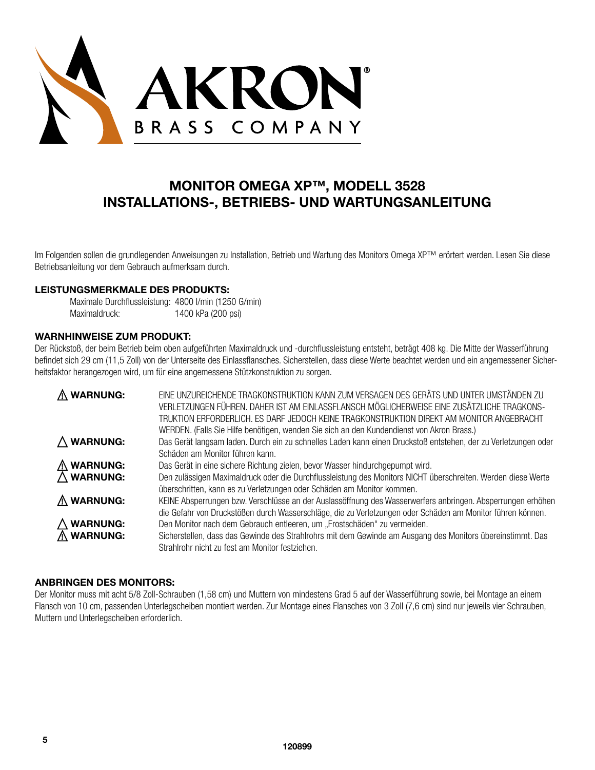

# **MONITOR OMEGA XP™, MODELL 3528 INSTALLATIONS-, BETRIEBS- UND WARTUNGSANLEITUNG**

Im Folgenden sollen die grundlegenden Anweisungen zu Installation, Betrieb und Wartung des Monitors Omega XP™ erörtert werden. Lesen Sie diese Betriebsanleitung vor dem Gebrauch aufmerksam durch.

#### **LEISTUNGSMERKMALE DES PRODUKTS:**

| Maximale Durchflussleistung: 4800 l/min (1250 G/min) |                    |
|------------------------------------------------------|--------------------|
| Maximaldruck:                                        | 1400 kPa (200 psi) |

# **WARNHINWEISE ZUM PRODUKT:**

Der Rückstoß, der beim Betrieb beim oben aufgeführten Maximaldruck und -durchflussleistung entsteht, beträgt 408 kg. Die Mitte der Wasserführung befindet sich 29 cm (11,5 Zoll) von der Unterseite des Einlassflansches. Sicherstellen, dass diese Werte beachtet werden und ein angemessener Sicherheitsfaktor herangezogen wird, um für eine angemessene Stützkonstruktion zu sorgen.

| $\Lambda$ WARNUNG:   | EINE UNZUREICHENDE TRAGKONSTRUKTION KANN ZUM VERSAGEN DES GERÄTS UND UNTER UMSTÄNDEN ZU<br>VERLETZUNGEN FÜHREN. DAHER IST AM EINLASSFLANSCH MÖGLICHERWEISE EINE ZUSÄTZLICHE TRAGKONS-<br>TRUKTION ERFORDERLICH. ES DARF JEDOCH KEINE TRAGKONSTRUKTION DIREKT AM MONITOR ANGEBRACHT<br>WERDEN. (Falls Sie Hilfe benötigen, wenden Sie sich an den Kundendienst von Akron Brass.) |
|----------------------|---------------------------------------------------------------------------------------------------------------------------------------------------------------------------------------------------------------------------------------------------------------------------------------------------------------------------------------------------------------------------------|
| $\triangle$ WARNUNG: | Das Gerät langsam laden. Durch ein zu schnelles Laden kann einen Druckstoß entstehen, der zu Verletzungen oder<br>Schäden am Monitor führen kann.                                                                                                                                                                                                                               |
| $\triangle$ WARNUNG: | Das Gerät in eine sichere Richtung zielen, bevor Wasser hindurchgepumpt wird.                                                                                                                                                                                                                                                                                                   |
| $\triangle$ WARNUNG: | Den zulässigen Maximaldruck oder die Durchflussleistung des Monitors NICHT überschreiten. Werden diese Werte<br>überschritten, kann es zu Verletzungen oder Schäden am Monitor kommen.                                                                                                                                                                                          |
| $\Lambda$ WARNUNG:   | KEINE Absperrungen bzw. Verschlüsse an der Auslassöffnung des Wasserwerfers anbringen. Absperrungen erhöhen<br>die Gefahr von Druckstößen durch Wasserschläge, die zu Verletzungen oder Schäden am Monitor führen können.                                                                                                                                                       |
| $\triangle$ WARNUNG: | Den Monitor nach dem Gebrauch entleeren, um "Frostschäden" zu vermeiden.                                                                                                                                                                                                                                                                                                        |
| $\Lambda$ WARNUNG:   | Sicherstellen, dass das Gewinde des Strahlrohrs mit dem Gewinde am Ausgang des Monitors übereinstimmt. Das<br>Strahlrohr nicht zu fest am Monitor festziehen.                                                                                                                                                                                                                   |

#### **ANBRINGEN DES MONITORS:**

Der Monitor muss mit acht 5/8 Zoll-Schrauben (1,58 cm) und Muttern von mindestens Grad 5 auf der Wasserführung sowie, bei Montage an einem Flansch von 10 cm, passenden Unterlegscheiben montiert werden. Zur Montage eines Flansches von 3 Zoll (7,6 cm) sind nur jeweils vier Schrauben, Muttern und Unterlegscheiben erforderlich.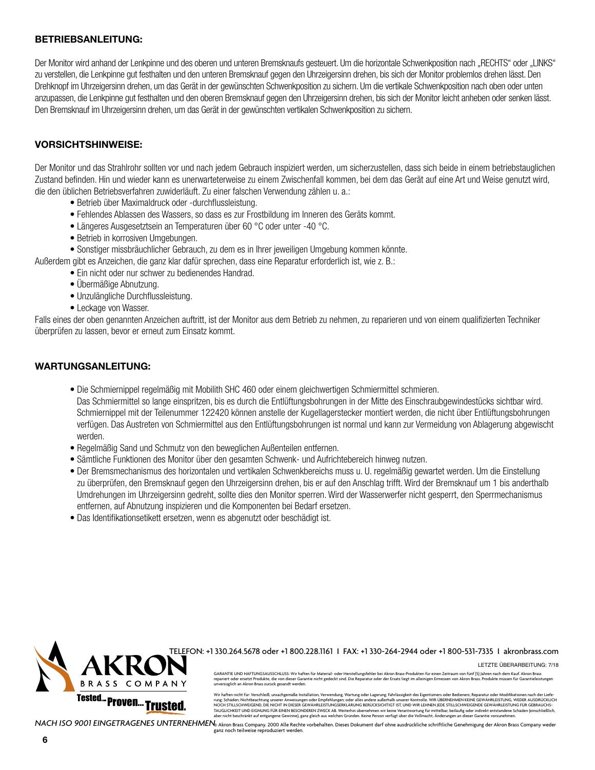#### **BETRIEBSANLEITUNG:**

Der Monitor wird anhand der Lenkpinne und des oberen und unteren Bremsknaufs gesteuert. Um die horizontale Schwenkposition nach "RECHTS" oder "LINKS" zu verstellen, die Lenkpinne gut festhalten und den unteren Bremsknauf gegen den Uhrzeigersinn drehen, bis sich der Monitor problemlos drehen lässt. Den Drehknopf im Uhrzeigersinn drehen, um das Gerät in der gewünschten Schwenkposition zu sichern. Um die vertikale Schwenkposition nach oben oder unten anzupassen, die Lenkpinne gut festhalten und den oberen Bremsknauf gegen den Uhrzeigersinn drehen, bis sich der Monitor leicht anheben oder senken lässt. Den Bremsknauf im Uhrzeigersinn drehen, um das Gerät in der gewünschten vertikalen Schwenkposition zu sichern.

# **VORSICHTSHINWEISE:**

Der Monitor und das Strahlrohr sollten vor und nach jedem Gebrauch inspiziert werden, um sicherzustellen, dass sich beide in einem betriebstauglichen Zustand befinden. Hin und wieder kann es unerwarteterweise zu einem Zwischenfall kommen, bei dem das Gerät auf eine Art und Weise genutzt wird, die den üblichen Betriebsverfahren zuwiderläuft. Zu einer falschen Verwendung zählen u. a.:

- Betrieb über Maximaldruck oder -durchflussleistung.
- Fehlendes Ablassen des Wassers, so dass es zur Frostbildung im Inneren des Geräts kommt.
- Längeres Ausgesetztsein an Temperaturen über 60 °C oder unter -40 °C.
- Betrieb in korrosiven Umgebungen.
- Sonstiger missbräuchlicher Gebrauch, zu dem es in Ihrer jeweiligen Umgebung kommen könnte.

Außerdem gibt es Anzeichen, die ganz klar dafür sprechen, dass eine Reparatur erforderlich ist, wie z. B.:

- Ein nicht oder nur schwer zu bedienendes Handrad.
- Übermäßige Abnutzung.
- Unzulängliche Durchflussleistung.
- Leckage von Wasser.

Falls eines der oben genannten Anzeichen auftritt, ist der Monitor aus dem Betrieb zu nehmen, zu reparieren und von einem qualifizierten Techniker überprüfen zu lassen, bevor er erneut zum Einsatz kommt.

# **WARTUNGSANLEITUNG:**

- Die Schmiernippel regelmäßig mit Mobilith SHC 460 oder einem gleichwertigen Schmiermittel schmieren. Das Schmiermittel so lange einspritzen, bis es durch die Entlüftungsbohrungen in der Mitte des Einschraubgewindestücks sichtbar wird. Schmiernippel mit der Teilenummer 122420 können anstelle der Kugellagerstecker montiert werden, die nicht über Entlüftungsbohrungen verfügen. Das Austreten von Schmiermittel aus den Entlüftungsbohrungen ist normal und kann zur Vermeidung von Ablagerung abgewischt werden.
- Regelmäßig Sand und Schmutz von den beweglichen Außenteilen entfernen.
- Sämtliche Funktionen des Monitor über den gesamten Schwenk- und Aufrichtebereich hinweg nutzen.
- Der Bremsmechanismus des horizontalen und vertikalen Schwenkbereichs muss u. U. regelmäßig gewartet werden. Um die Einstellung zu überprüfen, den Bremsknauf gegen den Uhrzeigersinn drehen, bis er auf den Anschlag trifft. Wird der Bremsknauf um 1 bis anderthalb Umdrehungen im Uhrzeigersinn gedreht, sollte dies den Monitor sperren. Wird der Wasserwerfer nicht gesperrt, den Sperrmechanismus entfernen, auf Abnutzung inspizieren und die Komponenten bei Bedarf ersetzen.
- Das Identifikationsetikett ersetzen, wenn es abgenutzt oder beschädigt ist.



TELEFON: +1 330.264.5678 oder +1 800.228.1161 I FAX: +1 330-264-2944 oder +1 800-531-7335 I akronbrass.com

Letzte Überarbeitung: 7/18

GARANTIE UND HAFTUNGSAUSSCHLUSS: Wir haften für Material- oder Herstellungsfehler bei Akron Brass-Produkten für einen Zeitraum von fünf (5) Jahren nach dem Kauf. Akron Brass<br>repariert oder ersetzt Produkte, die von dieser unverzüglich an Akron Brass zurück gesandt werden.

Wir haften nicht für: Verschleiß; unsachgemäße Installation, Verwendung, Wartung oder Lagerung; Fahrlässigkeit des Eigentümers oder Bedieners; Reparatur oder Modifikationen nach der Liefe-<br>rune: Schäden: Nichtbeachtune uns rung: Schaden; Nichbeachtung unsere Anweisungen oder Empfehlungen; der eine aufgehalten Eine der Eine Klaufer (<br>NOCH STILLSCHWEIGEND, DIE NICHT IN DIESER GEWÄHRLEISTUNGSERKLÄRUNG BERÜCKSICHTIGT IST, UND WIR LEHNEN JEDE STI

NACH ISO 9001 EINGETRAGENES UNTERNEHMEN**e Akron Brass Company. 2000 Alle Rechte vorbehalten**. Dieses Dokument darf ohne ausdrückliche schriftliche Genehmigung der Akron Brass Company weder ganz noch teilweise reproduziert werden.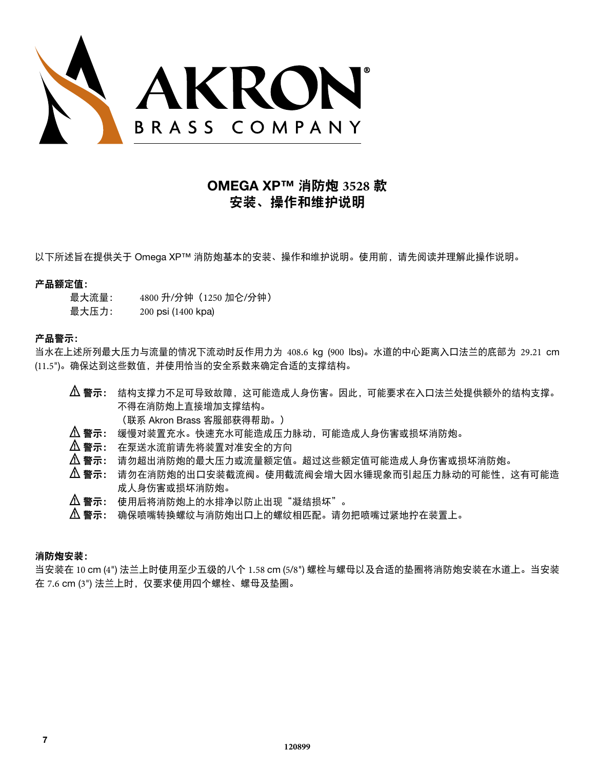

# **OMEGA XP™** 消防炮 **3528** 款 安装、操作和维护说明

以下所述旨在提供关于 Omega XP™ 消防炮基本的安装、操作和维护说明。使用前,请先阅读并理解此操作说明。

#### 产品额定值:

- 最大流量: 4800 升/分钟(1250 加仑/分钟)
- 最大压力: 200 psi (1400 kpa)

# 产品警示:

当水在上述所列最大压力与流量的情况下流动时反作用力为 408.6 kg (900 lbs)。水道的中心距离入口法兰的底部为 29.21 cm (11.5")。确保达到这些数值,并使用恰当的安全系数来确定合适的支撑结构。

- $\, \Delta \,$ 警示: 结构支撑力不足可导致故障,这可能造成人身伤害。因此,可能要求在入口法兰处提供额外的结构支撑。 不得在消防炮上直接增加支撑结构。
	- (联系 Akron Brass 客服部获得帮助。)
- $\, \Delta \,$ 警示: 缓慢对装置充水。快速充水可能造成压力脉动,可能造成人身伤害或损坏消防炮。
- ! 警示: 在泵送水流前请先将装置对准安全的方向
- $\Delta$  警示: 请勿超出消防炮的最大压力或流量额定值。超过这些额定值可能造成人身伤害或损坏消防炮。
- $\, \Delta \,$ 警示: 请勿在消防炮的出口安装截流阀。使用截流阀会增大因水锤现象而引起压力脉动的可能性,这有可能造 成人身伤害或损坏消防炮。
- 1 警示: 使用后将消防炮上的水排净以防止出现"凝结损坏"。
- $\Delta$  警示: 确保喷嘴转换螺纹与消防炮出口上的螺纹相匹配。请勿把喷嘴过紧地拧在装置上。

# 消防炮安装:

当安装在 10 cm (4") 法兰上时使用至少五级的八个 1.58 cm (5/8") 螺栓与螺母以及合适的垫圈将消防炮安装在水道上。当安装 在 7.6 cm (3") 法兰上时,仅要求使用四个螺栓、螺母及垫圈。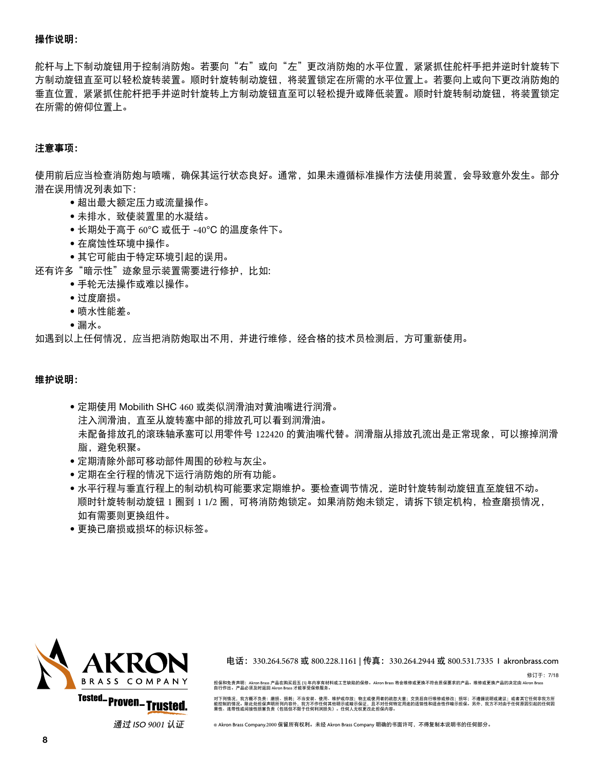#### 操作说明:

舵杆与上下制动旋钮用于控制消防炮。若要向"右"或向"左"更改消防炮的水平位置,紧紧抓住舵杆手把并逆时针旋转下 方制动旋钮直至可以轻松旋转装置。顺时针旋转制动旋钮,将装置锁定在所需的水平位置上。若要向上或向下更改消防炮的 垂直位置,紧紧抓住舵杆把手并逆时针旋转上方制动旋钮直至可以轻松提升或降低装置。顺时针旋转制动旋钮,将装置锁定 在所需的俯仰位置上。

### 注意事项:

使用前后应当检查消防炮与喷嘴,确保其运行状态良好。通常,如果未遵循标准操作方法使用装置,会导致意外发生。部分 潜在误用情况列表如下:

- 超出最大额定压力或流量操作。
- 未排水,致使装置里的水凝结。
- 长期处于高于 60°C 或低于 -40°C 的温度条件下。
- 在腐蚀性环境中操作。
- 其它可能由于特定环境引起的误用。
- 还有许多"暗示性"迹象显示装置需要进行修护, 比如:
	- 手轮无法操作或难以操作。
	- 过度磨损。
	- 喷水性能差。
	- 漏水。

如遇到以上任何情况,应当把消防炮取出不用,并进行维修,经合格的技术员检测后,方可重新使用。

#### 维护说明:

- 定期使用 Mobilith SHC 460 或类似润滑油对黄油嘴进行润滑。 注入润滑油,直至从旋转塞中部的排放孔可以看到润滑油。 未配备排放孔的滚珠轴承塞可以用零件号 122420 的黄油嘴代替。润滑脂从排放孔流出是正常现象,可以擦掉润滑 脂,避免积聚。
- 定期清除外部可移动部件周围的砂粒与灰尘。
- 定期在全行程的情况下运行消防炮的所有功能。
- 水平行程与垂直行程上的制动机构可能要求定期维护。要检查调节情况,逆时针旋转制动旋钮直至旋钮不动。 顺时针旋转制动旋钮 1 圈到 1 1/2 圈,可将消防炮锁定。如果消防炮未锁定,请拆下锁定机构,检查磨损情况, 如有需要则更换组件。
- 更换已磨损或损坏的标识标签。



通过.ISO.<sup>9001</sup> 认证

电话: 330.264.5678 或 800.228.1161 | 传真: 330.264.2944 或 800.531.7335 l akronbrass.com

修订于:7/18 担保和免责声明:Akron.Brass.产品在购买后五 (5).年内享有材料或工艺缺陷的保修。Akron.Brass.将会维修或更换不符合质保要求的产品。维修或更换产品的决定由 Akron.Brass<br>自行作出。产品必须及时返回 Akron.Brass.才能享受保修服务。

对下列情况,我方概不负责:磨损、损耗;不当安装、使用、维护或存放;物主或使用者的疏忽大意;交货后自行维修或修改;损坏;不遵循说明或建议;或者其它任何非我方所 能控制的情况。除此处担保声明所列内容外,我方不作任何其他明示或暗示保证,且不对任何特定用途的适销性和适合性作暗示担保。另外,我方不对由于任何原因引起的任何因<br>果性、连带性或间接性损害负责(包括但不限于任何利润损失)。任何人无权更改此担保内容。

©.Akron.Brass.Company .2000 保留所有权利。未经.Akron.Brass.Company.明确的书面许可,不得复制本说明书的任何部分。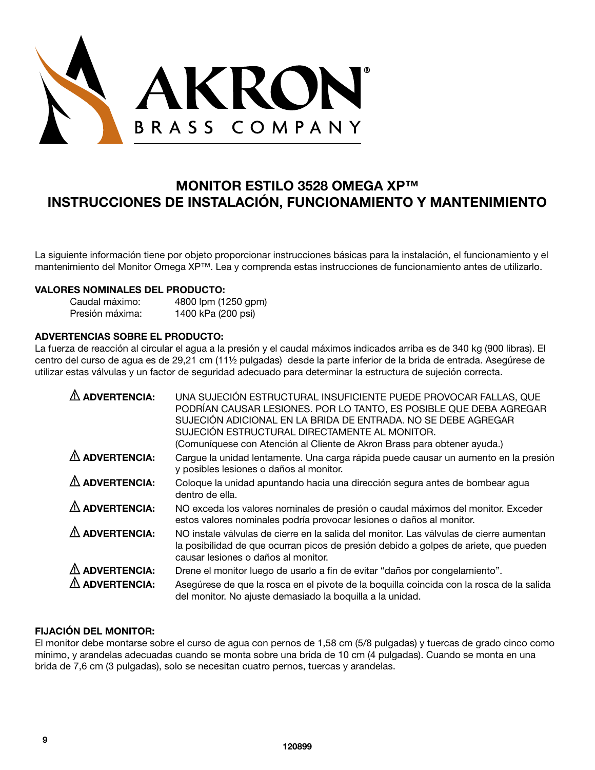

# **MONITOR ESTILO 3528 OMEGA XP™ INSTRUCCIONES DE INSTALACIÓN, FUNCIONAMIENTO Y MANTENIMIENTO**

La siguiente información tiene por objeto proporcionar instrucciones básicas para la instalación, el funcionamiento y el mantenimiento del Monitor Omega XP™. Lea y comprenda estas instrucciones de funcionamiento antes de utilizarlo.

#### **VALORES NOMINALES DEL PRODUCTO:**

| Caudal máximo:  | 4800 lpm (1250 gpm) |
|-----------------|---------------------|
| Presión máxima: | 1400 kPa (200 psi)  |

# **ADVERTENCIAS SOBRE EL PRODUCTO:**

La fuerza de reacción al circular el agua a la presión y el caudal máximos indicados arriba es de 340 kg (900 libras). El centro del curso de agua es de 29,21 cm (11½ pulgadas) desde la parte inferior de la brida de entrada. Asegúrese de utilizar estas válvulas y un factor de seguridad adecuado para determinar la estructura de sujeción correcta.

| <b>ADVERTENCIA:</b>      | UNA SUJECIÓN ESTRUCTURAL INSUFICIENTE PUEDE PROVOCAR FALLAS, QUE<br>PODRÍAN CAUSAR LESIONES. POR LO TANTO, ES POSIBLE QUE DEBA AGREGAR<br>SUJECIÓN ADICIONAL EN LA BRIDA DE ENTRADA. NO SE DEBE AGREGAR<br>SUJECIÓN ESTRUCTURAL DIRECTAMENTE AL MONITOR.<br>(Comuníquese con Atención al Cliente de Akron Brass para obtener ayuda.) |
|--------------------------|--------------------------------------------------------------------------------------------------------------------------------------------------------------------------------------------------------------------------------------------------------------------------------------------------------------------------------------|
| $\triangle$ ADVERTENCIA: | Cargue la unidad lentamente. Una carga rápida puede causar un aumento en la presión<br>y posibles lesiones o daños al monitor.                                                                                                                                                                                                       |
| $\triangle$ ADVERTENCIA: | Coloque la unidad apuntando hacia una dirección segura antes de bombear agua<br>dentro de ella.                                                                                                                                                                                                                                      |
| $\triangle$ ADVERTENCIA: | NO exceda los valores nominales de presión o caudal máximos del monitor. Exceder<br>estos valores nominales podría provocar lesiones o daños al monitor.                                                                                                                                                                             |
| $\triangle$ ADVERTENCIA: | NO instale válvulas de cierre en la salida del monitor. Las válvulas de cierre aumentan<br>la posibilidad de que ocurran picos de presión debido a golpes de ariete, que pueden<br>causar lesiones o daños al monitor.                                                                                                               |
| $\triangle$ ADVERTENCIA: | Drene el monitor luego de usarlo a fin de evitar "daños por congelamiento".                                                                                                                                                                                                                                                          |
| <b>ADVERTENCIA:</b>      | Asegúrese de que la rosca en el pivote de la boquilla coincida con la rosca de la salida<br>del monitor. No ajuste demasiado la boquilla a la unidad.                                                                                                                                                                                |

# **FIJACIÓN DEL MONITOR:**

El monitor debe montarse sobre el curso de agua con pernos de 1,58 cm (5/8 pulgadas) y tuercas de grado cinco como mínimo, y arandelas adecuadas cuando se monta sobre una brida de 10 cm (4 pulgadas). Cuando se monta en una brida de 7,6 cm (3 pulgadas), solo se necesitan cuatro pernos, tuercas y arandelas.